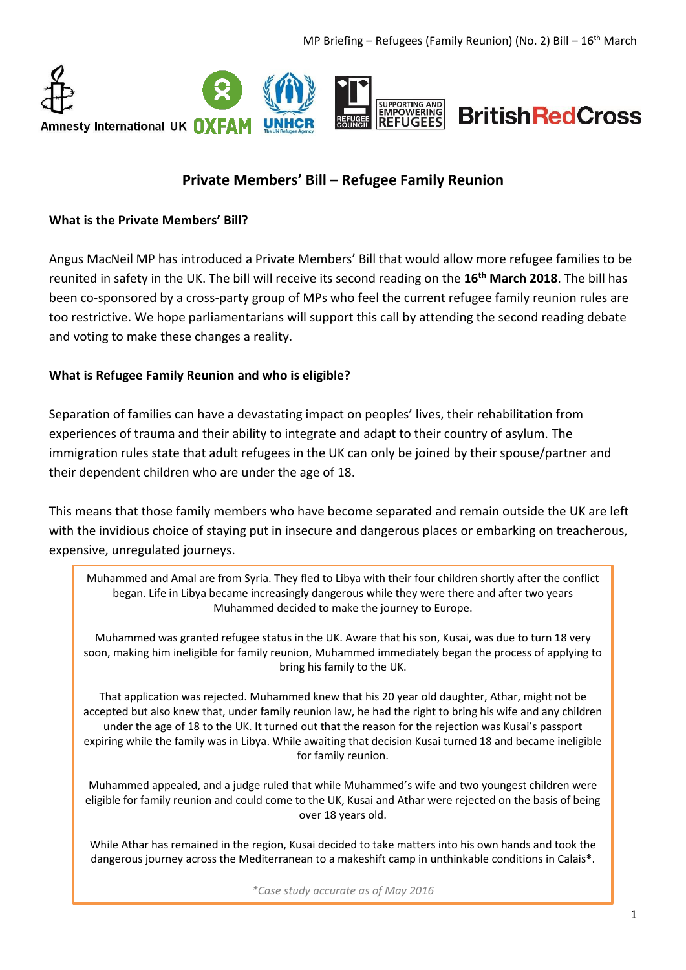

# **Private Members' Bill – Refugee Family Reunion**

#### **What is the Private Members' Bill?**

Angus MacNeil MP has introduced a Private Members' Bill that would allow more refugee families to be reunited in safety in the UK. The bill will receive its second reading on the **16th March 2018**. The bill has been co-sponsored by a cross-party group of MPs who feel the current refugee family reunion rules are too restrictive. We hope parliamentarians will support this call by attending the second reading debate and voting to make these changes a reality.

#### **What is Refugee Family Reunion and who is eligible?**

Separation of families can have a devastating impact on peoples' lives, their rehabilitation from experiences of trauma and their ability to integrate and adapt to their country of asylum. The immigration rules state that adult refugees in the UK can only be joined by their spouse/partner and their dependent children who are under the age of 18.

This means that those family members who have become separated and remain outside the UK are left with the invidious choice of staying put in insecure and dangerous places or embarking on treacherous, expensive, unregulated journeys.

Muhammed and Amal are from Syria. They fled to Libya with their four children shortly after the conflict began. Life in Libya became increasingly dangerous while they were there and after two years Muhammed decided to make the journey to Europe.

Muhammed was granted refugee status in the UK. Aware that his son, Kusai, was due to turn 18 very soon, making him ineligible for family reunion, Muhammed immediately began the process of applying to bring his family to the UK.

That application was rejected. Muhammed knew that his 20 year old daughter, Athar, might not be accepted but also knew that, under family reunion law, he had the right to bring his wife and any children under the age of 18 to the UK. It turned out that the reason for the rejection was Kusai's passport expiring while the family was in Libya. While awaiting that decision Kusai turned 18 and became ineligible for family reunion.

Muhammed appealed, and a judge ruled that while Muhammed's wife and two youngest children were eligible for family reunion and could come to the UK, Kusai and Athar were rejected on the basis of being over 18 years old.

While Athar has remained in the region, Kusai decided to take matters into his own hands and took the dangerous journey across the Mediterranean to a makeshift camp in unthinkable conditions in Calais**\***.

*\*Case study accurate as of May 2016*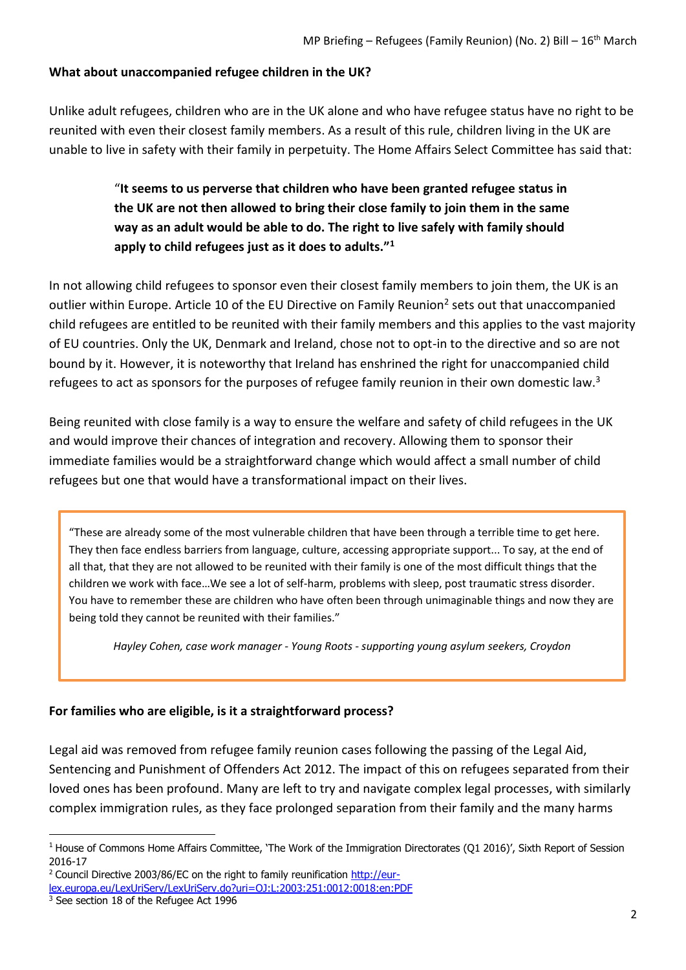### **What about unaccompanied refugee children in the UK?**

Unlike adult refugees, children who are in the UK alone and who have refugee status have no right to be reunited with even their closest family members. As a result of this rule, children living in the UK are unable to live in safety with their family in perpetuity. The Home Affairs Select Committee has said that:

> "**It seems to us perverse that children who have been granted refugee status in the UK are not then allowed to bring their close family to join them in the same way as an adult would be able to do. The right to live safely with family should apply to child refugees just as it does to adults."<sup>1</sup>**

In not allowing child refugees to sponsor even their closest family members to join them, the UK is an outlier within Europe. Article 10 of the EU Directive on Family Reunion<sup>2</sup> sets out that unaccompanied child refugees are entitled to be reunited with their family members and this applies to the vast majority of EU countries. Only the UK, Denmark and Ireland, chose not to opt-in to the directive and so are not bound by it. However, it is noteworthy that Ireland has enshrined the right for unaccompanied child refugees to act as sponsors for the purposes of refugee family reunion in their own domestic law.<sup>3</sup>

Being reunited with close family is a way to ensure the welfare and safety of child refugees in the UK and would improve their chances of integration and recovery. Allowing them to sponsor their immediate families would be a straightforward change which would affect a small number of child refugees but one that would have a transformational impact on their lives.

"These are already some of the most vulnerable children that have been through a terrible time to get here. They then face endless barriers from language, culture, accessing appropriate support... To say, at the end of all that, that they are not allowed to be reunited with their family is one of the most difficult things that the children we work with face…We see a lot of self-harm, problems with sleep, post traumatic stress disorder. You have to remember these are children who have often been through unimaginable things and now they are being told they cannot be reunited with their families."

*Hayley Cohen, case work manager - Young Roots - supporting young asylum seekers, Croydon*

### **For families who are eligible, is it a straightforward process?**

Legal aid was removed from refugee family reunion cases following the passing of the Legal Aid, Sentencing and Punishment of Offenders Act 2012. The impact of this on refugees separated from their loved ones has been profound. Many are left to try and navigate complex legal processes, with similarly complex immigration rules, as they face prolonged separation from their family and the many harms

 $\overline{a}$ 

 $1$  House of Commons Home Affairs Committee, 'The Work of the Immigration Directorates (Q1 2016)', Sixth Report of Session 2016-17

<sup>&</sup>lt;sup>2</sup> Council Directive 2003/86/EC on the right to family reunification [http://eur-](http://eur-lex.europa.eu/LexUriServ/LexUriServ.do?uri=OJ:L:2003:251:0012:0018:en:PDF)

[lex.europa.eu/LexUriServ/LexUriServ.do?uri=OJ:L:2003:251:0012:0018:en:PDF](http://eur-lex.europa.eu/LexUriServ/LexUriServ.do?uri=OJ:L:2003:251:0012:0018:en:PDF)

<sup>&</sup>lt;sup>3</sup> See section 18 of the Refugee Act 1996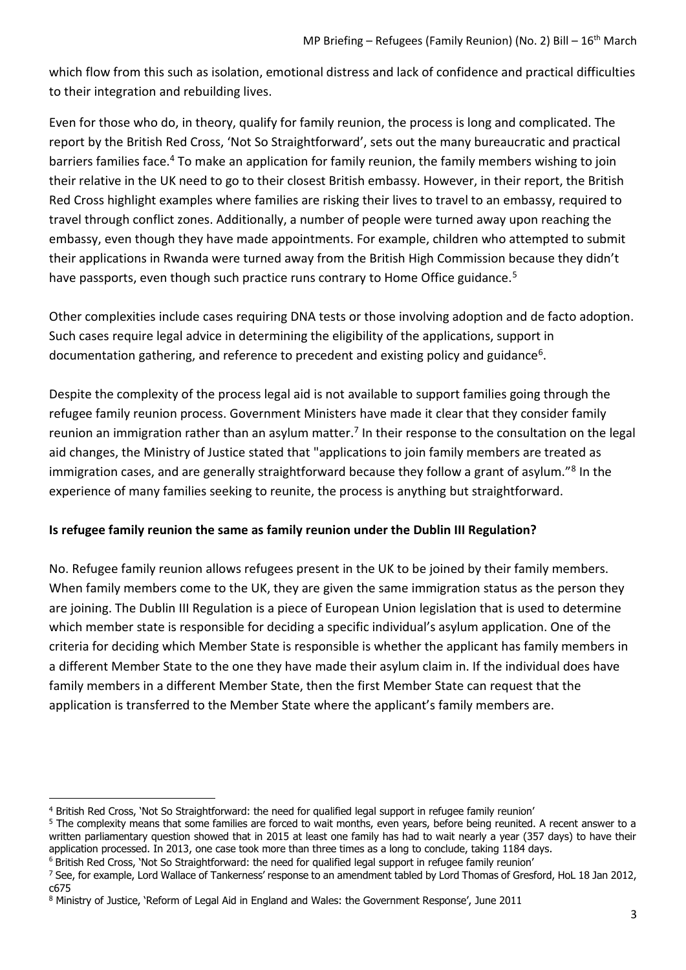which flow from this such as isolation, emotional distress and lack of confidence and practical difficulties to their integration and rebuilding lives.

Even for those who do, in theory, qualify for family reunion, the process is long and complicated. The report by the British Red Cross, 'Not So Straightforward', sets out the many bureaucratic and practical barriers families face.<sup>4</sup> To make an application for family reunion, the family members wishing to join their relative in the UK need to go to their closest British embassy. However, in their report, the British Red Cross highlight examples where families are risking their lives to travel to an embassy, required to travel through conflict zones. Additionally, a number of people were turned away upon reaching the embassy, even though they have made appointments. For example, children who attempted to submit their applications in Rwanda were turned away from the British High Commission because they didn't have passports, even though such practice runs contrary to Home Office guidance.<sup>5</sup>

Other complexities include cases requiring DNA tests or those involving adoption and de facto adoption. Such cases require legal advice in determining the eligibility of the applications, support in documentation gathering, and reference to precedent and existing policy and guidance<sup>6</sup>.

Despite the complexity of the process legal aid is not available to support families going through the refugee family reunion process. Government Ministers have made it clear that they consider family reunion an immigration rather than an asylum matter.<sup>7</sup> In their response to the consultation on the legal aid changes, the Ministry of Justice stated that "applications to join family members are treated as immigration cases, and are generally straightforward because they follow a grant of asylum."<sup>8</sup> In the experience of many families seeking to reunite, the process is anything but straightforward.

## **Is refugee family reunion the same as family reunion under the Dublin III Regulation?**

No. Refugee family reunion allows refugees present in the UK to be joined by their family members. When family members come to the UK, they are given the same immigration status as the person they are joining. The Dublin III Regulation is a piece of European Union legislation that is used to determine which member state is responsible for deciding a specific individual's asylum application. One of the criteria for deciding which Member State is responsible is whether the applicant has family members in a different Member State to the one they have made their asylum claim in. If the individual does have family members in a different Member State, then the first Member State can request that the application is transferred to the Member State where the applicant's family members are.

 $\overline{a}$ 

<sup>6</sup> British Red Cross, 'Not So Straightforward: the need for qualified legal support in refugee family reunion'

<sup>4</sup> British Red Cross, 'Not So Straightforward: the need for qualified legal support in refugee family reunion'

<sup>&</sup>lt;sup>5</sup> The complexity means that some families are forced to wait months, even years, before being reunited. A recent answer to a written parliamentary question showed that in 2015 at least one family has had to wait nearly a year (357 days) to have their application processed. In 2013, one case took more than three times as a long to conclude, taking 1184 days.

 $7$  See, for example, Lord Wallace of Tankerness' response to an amendment tabled by Lord Thomas of Gresford, HoL 18 Jan 2012, c675

<sup>8</sup> Ministry of Justice, 'Reform of Legal Aid in England and Wales: the Government Response', June 2011